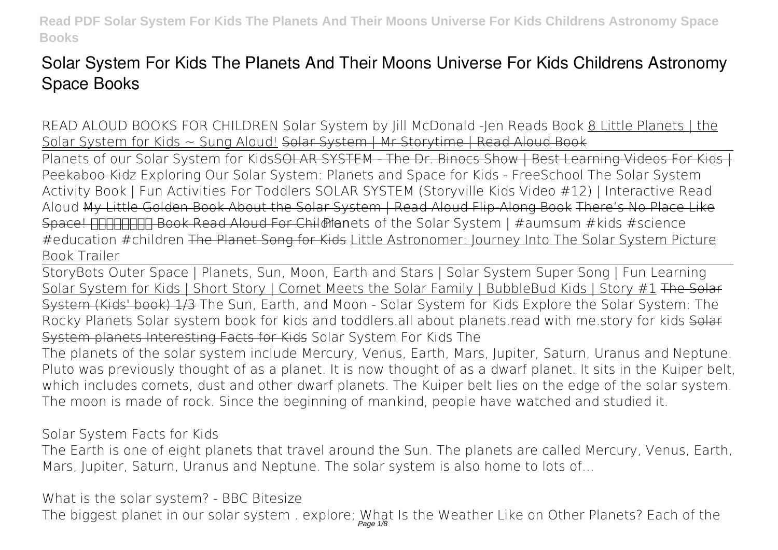## **Solar System For Kids The Planets And Their Moons Universe For Kids Childrens Astronomy Space Books**

*READ ALOUD BOOKS FOR CHILDREN Solar System by Jill McDonald -Jen Reads Book* 8 Little Planets | the Solar System for Kids ~ Sung Aloud! Solar System | Mr Storytime | Read Aloud Book

Planets of our Solar System for Kids<del>SOLAR SYSTEM The Dr. Binocs Show | Best Learning Videos For Kids</del> Peekaboo Kidz *Exploring Our Solar System: Planets and Space for Kids - FreeSchool* The Solar System Activity Book | Fun Activities For Toddlers **SOLAR SYSTEM (Storyville Kids Video #12) | Interactive Read Aloud** My Little Golden Book About the Solar System | Read Aloud Flip-Along Book There's No Place Like Space! Book Read Aloud For Child Menets of the Solar System | #aumsum #kids #science #education #children The Planet Song for Kids Little Astronomer: Journey Into The Solar System Picture Book Trailer

StoryBots Outer Space | Planets, Sun, Moon, Earth and Stars | Solar System Super Song | Fun Learning Solar System for Kids | Short Story | Comet Meets the Solar Family | BubbleBud Kids | Story #1 The Solar System (Kids' book) 1/3 *The Sun, Earth, and Moon - Solar System for Kids Explore the Solar System: The Rocky Planets* **Solar system book for kids and toddlers.all about planets.read with me.story for kids** Solar System planets Interesting Facts for Kids **Solar System For Kids The**

The planets of the solar system include Mercury, Venus, Earth, Mars, Jupiter, Saturn, Uranus and Neptune. Pluto was previously thought of as a planet. It is now thought of as a dwarf planet. It sits in the Kuiper belt, which includes comets, dust and other dwarf planets. The Kuiper belt lies on the edge of the solar system. The moon is made of rock. Since the beginning of mankind, people have watched and studied it.

**Solar System Facts for Kids**

The Earth is one of eight planets that travel around the Sun. The planets are called Mercury, Venus, Earth, Mars, Jupiter, Saturn, Uranus and Neptune. The solar system is also home to lots of...

**What is the solar system? - BBC Bitesize**

The biggest planet in our solar system . explore; What Is the Weather Like on Other Planets? Each of the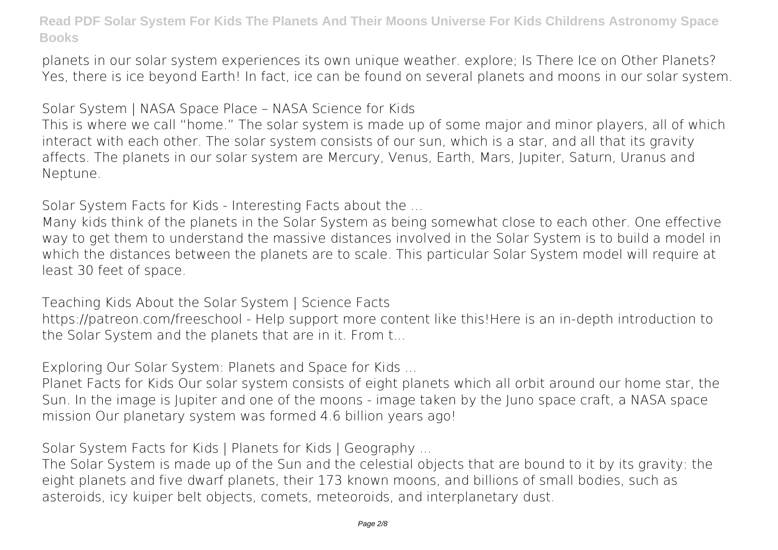planets in our solar system experiences its own unique weather. explore; Is There Ice on Other Planets? Yes, there is ice beyond Earth! In fact, ice can be found on several planets and moons in our solar system.

**Solar System | NASA Space Place – NASA Science for Kids**

This is where we call "home." The solar system is made up of some major and minor players, all of which interact with each other. The solar system consists of our sun, which is a star, and all that its gravity affects. The planets in our solar system are Mercury, Venus, Earth, Mars, Jupiter, Saturn, Uranus and Neptune.

**Solar System Facts for Kids - Interesting Facts about the ...**

Many kids think of the planets in the Solar System as being somewhat close to each other. One effective way to get them to understand the massive distances involved in the Solar System is to build a model in which the distances between the planets are to scale. This particular Solar System model will require at least 30 feet of space.

**Teaching Kids About the Solar System | Science Facts** https://patreon.com/freeschool - Help support more content like this!Here is an in-depth introduction to the Solar System and the planets that are in it. From t...

**Exploring Our Solar System: Planets and Space for Kids ...**

Planet Facts for Kids Our solar system consists of eight planets which all orbit around our home star, the Sun. In the image is Jupiter and one of the moons - image taken by the Juno space craft, a NASA space mission Our planetary system was formed 4.6 billion years ago!

**Solar System Facts for Kids | Planets for Kids | Geography ...**

The Solar System is made up of the Sun and the celestial objects that are bound to it by its gravity: the eight planets and five dwarf planets, their 173 known moons, and billions of small bodies, such as asteroids, icy kuiper belt objects, comets, meteoroids, and interplanetary dust.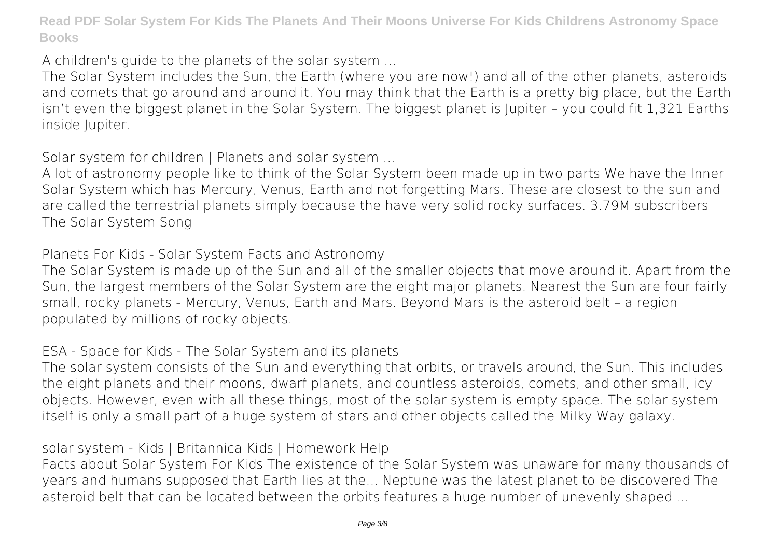**A children's guide to the planets of the solar system ...**

The Solar System includes the Sun, the Earth (where you are now!) and all of the other planets, asteroids and comets that go around and around it. You may think that the Earth is a pretty big place, but the Earth isn't even the biggest planet in the Solar System. The biggest planet is Jupiter – you could fit 1,321 Earths inside Jupiter.

**Solar system for children | Planets and solar system ...**

A lot of astronomy people like to think of the Solar System been made up in two parts We have the Inner Solar System which has Mercury, Venus, Earth and not forgetting Mars. These are closest to the sun and are called the terrestrial planets simply because the have very solid rocky surfaces. 3.79M subscribers The Solar System Song

**Planets For Kids - Solar System Facts and Astronomy**

The Solar System is made up of the Sun and all of the smaller objects that move around it. Apart from the Sun, the largest members of the Solar System are the eight major planets. Nearest the Sun are four fairly small, rocky planets - Mercury, Venus, Earth and Mars. Beyond Mars is the asteroid belt – a region populated by millions of rocky objects.

**ESA - Space for Kids - The Solar System and its planets**

The solar system consists of the Sun and everything that orbits, or travels around, the Sun. This includes the eight planets and their moons, dwarf planets, and countless asteroids, comets, and other small, icy objects. However, even with all these things, most of the solar system is empty space. The solar system itself is only a small part of a huge system of stars and other objects called the Milky Way galaxy.

**solar system - Kids | Britannica Kids | Homework Help**

Facts about Solar System For Kids The existence of the Solar System was unaware for many thousands of years and humans supposed that Earth lies at the... Neptune was the latest planet to be discovered The asteroid belt that can be located between the orbits features a huge number of unevenly shaped ...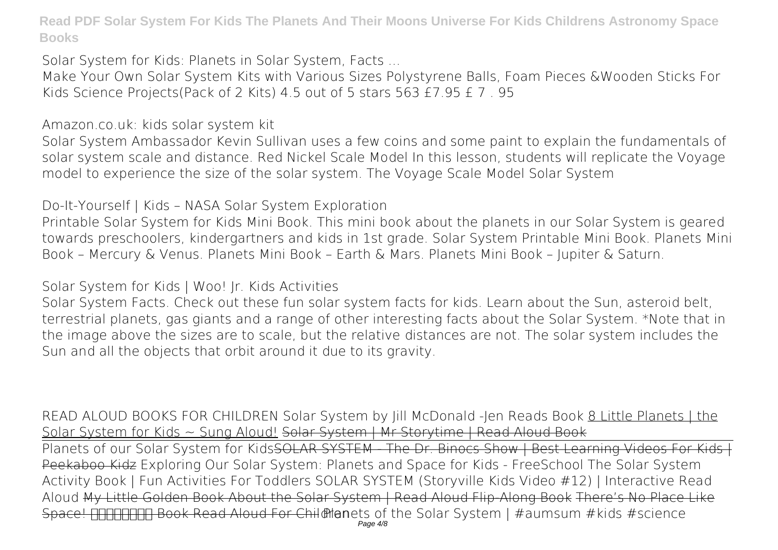**Solar System for Kids: Planets in Solar System, Facts ...**

Make Your Own Solar System Kits with Various Sizes Polystyrene Balls, Foam Pieces &Wooden Sticks For Kids Science Projects(Pack of 2 Kits) 4.5 out of 5 stars 563 £7.95 £ 7 . 95

**Amazon.co.uk: kids solar system kit**

Solar System Ambassador Kevin Sullivan uses a few coins and some paint to explain the fundamentals of solar system scale and distance. Red Nickel Scale Model In this lesson, students will replicate the Voyage model to experience the size of the solar system. The Voyage Scale Model Solar System

**Do-It-Yourself | Kids – NASA Solar System Exploration**

Printable Solar System for Kids Mini Book. This mini book about the planets in our Solar System is geared towards preschoolers, kindergartners and kids in 1st grade. Solar System Printable Mini Book. Planets Mini Book – Mercury & Venus. Planets Mini Book – Earth & Mars. Planets Mini Book – Jupiter & Saturn.

**Solar System for Kids | Woo! Jr. Kids Activities**

Solar System Facts. Check out these fun solar system facts for kids. Learn about the Sun, asteroid belt, terrestrial planets, gas giants and a range of other interesting facts about the Solar System. \*Note that in the image above the sizes are to scale, but the relative distances are not. The solar system includes the Sun and all the objects that orbit around it due to its gravity.

*READ ALOUD BOOKS FOR CHILDREN Solar System by Jill McDonald -Jen Reads Book* 8 Little Planets | the Solar System for Kids ~ Sung Aloud! Solar System | Mr Storytime | Read Aloud Book

Planets of our Solar System for Kids<del>SOLAR SYSTEM The Dr. Binocs Show | Best Learning Videos For Kids</del> Peekaboo Kidz *Exploring Our Solar System: Planets and Space for Kids - FreeSchool* The Solar System Activity Book | Fun Activities For Toddlers **SOLAR SYSTEM (Storyville Kids Video #12) | Interactive Read Aloud** My Little Golden Book About the Solar System | Read Aloud Flip-Along Book There's No Place Like Space! **FIFIFIFIFIFI** Book Read Aloud For Child Manets of the Solar System | #aumsum #kids #science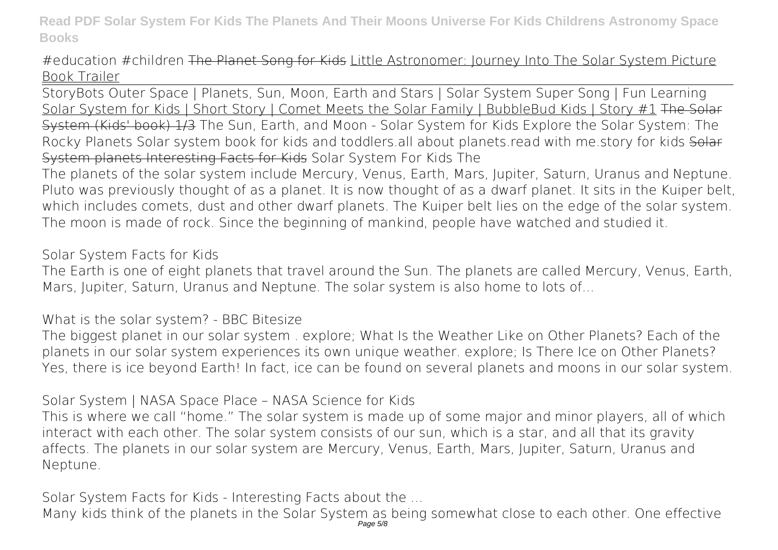#education #children The Planet Song for Kids Little Astronomer: Journey Into The Solar System Picture Book Trailer

StoryBots Outer Space | Planets, Sun, Moon, Earth and Stars | Solar System Super Song | Fun Learning Solar System for Kids | Short Story | Comet Meets the Solar Family | BubbleBud Kids | Story #1 The Solar System (Kids' book) 1/3 *The Sun, Earth, and Moon - Solar System for Kids Explore the Solar System: The Rocky Planets* **Solar system book for kids and toddlers.all about planets.read with me.story for kids** Solar System planets Interesting Facts for Kids **Solar System For Kids The**

The planets of the solar system include Mercury, Venus, Earth, Mars, Jupiter, Saturn, Uranus and Neptune. Pluto was previously thought of as a planet. It is now thought of as a dwarf planet. It sits in the Kuiper belt, which includes comets, dust and other dwarf planets. The Kuiper belt lies on the edge of the solar system. The moon is made of rock. Since the beginning of mankind, people have watched and studied it.

**Solar System Facts for Kids**

The Earth is one of eight planets that travel around the Sun. The planets are called Mercury, Venus, Earth, Mars, Jupiter, Saturn, Uranus and Neptune. The solar system is also home to lots of...

**What is the solar system? - BBC Bitesize**

The biggest planet in our solar system . explore; What Is the Weather Like on Other Planets? Each of the planets in our solar system experiences its own unique weather. explore; Is There Ice on Other Planets? Yes, there is ice beyond Earth! In fact, ice can be found on several planets and moons in our solar system.

**Solar System | NASA Space Place – NASA Science for Kids**

This is where we call "home." The solar system is made up of some major and minor players, all of which interact with each other. The solar system consists of our sun, which is a star, and all that its gravity affects. The planets in our solar system are Mercury, Venus, Earth, Mars, Jupiter, Saturn, Uranus and Neptune.

**Solar System Facts for Kids - Interesting Facts about the ...**

Many kids think of the planets in the Solar System as being somewhat close to each other. One effective<br>Page 5/8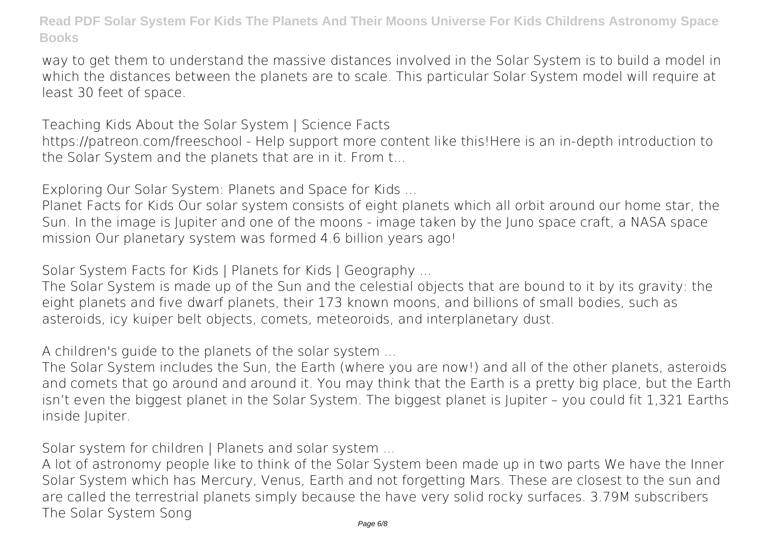way to get them to understand the massive distances involved in the Solar System is to build a model in which the distances between the planets are to scale. This particular Solar System model will require at least 30 feet of space.

**Teaching Kids About the Solar System | Science Facts**

https://patreon.com/freeschool - Help support more content like this!Here is an in-depth introduction to the Solar System and the planets that are in it. From t...

**Exploring Our Solar System: Planets and Space for Kids ...**

Planet Facts for Kids Our solar system consists of eight planets which all orbit around our home star, the Sun. In the image is Jupiter and one of the moons - image taken by the Juno space craft, a NASA space mission Our planetary system was formed 4.6 billion years ago!

**Solar System Facts for Kids | Planets for Kids | Geography ...**

The Solar System is made up of the Sun and the celestial objects that are bound to it by its gravity: the eight planets and five dwarf planets, their 173 known moons, and billions of small bodies, such as asteroids, icy kuiper belt objects, comets, meteoroids, and interplanetary dust.

**A children's guide to the planets of the solar system ...**

The Solar System includes the Sun, the Earth (where you are now!) and all of the other planets, asteroids and comets that go around and around it. You may think that the Earth is a pretty big place, but the Earth isn't even the biggest planet in the Solar System. The biggest planet is Jupiter – you could fit 1,321 Earths inside Jupiter.

**Solar system for children | Planets and solar system ...**

A lot of astronomy people like to think of the Solar System been made up in two parts We have the Inner Solar System which has Mercury, Venus, Earth and not forgetting Mars. These are closest to the sun and are called the terrestrial planets simply because the have very solid rocky surfaces. 3.79M subscribers The Solar System Song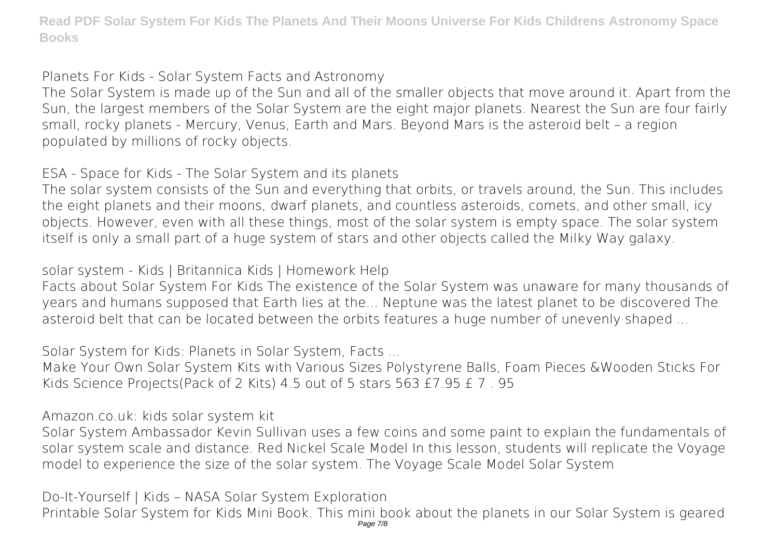**Planets For Kids - Solar System Facts and Astronomy**

The Solar System is made up of the Sun and all of the smaller objects that move around it. Apart from the Sun, the largest members of the Solar System are the eight major planets. Nearest the Sun are four fairly small, rocky planets - Mercury, Venus, Earth and Mars. Beyond Mars is the asteroid belt – a region populated by millions of rocky objects.

**ESA - Space for Kids - The Solar System and its planets**

The solar system consists of the Sun and everything that orbits, or travels around, the Sun. This includes the eight planets and their moons, dwarf planets, and countless asteroids, comets, and other small, icy objects. However, even with all these things, most of the solar system is empty space. The solar system itself is only a small part of a huge system of stars and other objects called the Milky Way galaxy.

**solar system - Kids | Britannica Kids | Homework Help**

Facts about Solar System For Kids The existence of the Solar System was unaware for many thousands of years and humans supposed that Earth lies at the... Neptune was the latest planet to be discovered The asteroid belt that can be located between the orbits features a huge number of unevenly shaped ...

**Solar System for Kids: Planets in Solar System, Facts ...**

Make Your Own Solar System Kits with Various Sizes Polystyrene Balls, Foam Pieces &Wooden Sticks For Kids Science Projects(Pack of 2 Kits) 4.5 out of 5 stars 563 £7.95 £ 7 . 95

**Amazon.co.uk: kids solar system kit**

Solar System Ambassador Kevin Sullivan uses a few coins and some paint to explain the fundamentals of solar system scale and distance. Red Nickel Scale Model In this lesson, students will replicate the Voyage model to experience the size of the solar system. The Voyage Scale Model Solar System

**Do-It-Yourself | Kids – NASA Solar System Exploration** Printable Solar System for Kids Mini Book. This mini book about the planets in our Solar System is geared Page 7/8